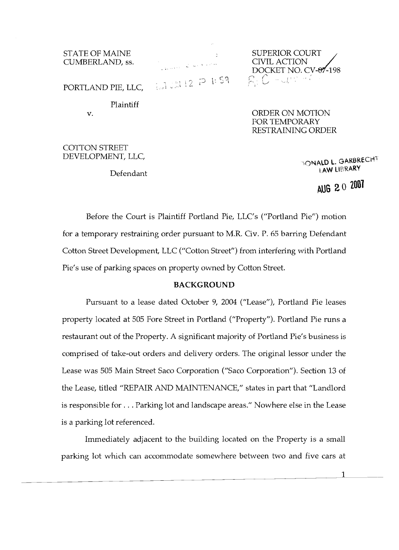CUMBERLAND, ss.

STATE OF MAINE STATE OF MAINE<br>
CUMBERLAND, ss. SUPERIOR COURT DOCKET NO. CV- $\theta$ -198  $\frac{1}{2}$  2 1:59  $\frac{20}{2}$ ,  $0 - 1,1$ 

PORTLAND PIE, LLC, , ,.

Plaintiff

v. ORDER ON MOTION FOR TEMPORARY RESTRAINING ORDER

COTTON STREET

DEVELOPMENT, LLC, The Contract of the Contract of Contract of Carbon Carbon in Garbrecht Defendant LAW LIBRARY

**AUG 20 2001** 

Before the Court is Plaintiff Portland Pie, LLC's ("Portland Pie") motion for a temporary restraining order pursuant to M.R. Civ. P. 65 barring Defendant Cotton Street Development, LLC ("Cotton Street") from interfering with Portland Pie's use of parking spaces on property owned by Cotton Street.

### **BACKGROUND**

Pursuant to a lease dated October 9, 2004 ("Lease"), Portland Pie leases property located at 505 Fore Street in Portland ("Property"). Portland Pie runs a restaurant out of the Property. A significant majority of Portland Pie's business is comprised of take-out orders and delivery orders. The original lessor under the Lease was 505 Main Street Saco Corporation ("Saco Corporation"). Section 13 of the Lease, titled "REPAIR AND MAINTENANCE," states in part that "Landlord is responsible for ... Parking lot and landscape areas." Nowhere else in the Lease is a parking lot referenced.

Immediately adjacent to the building located on the Property is a small parking lot which can accommodate somewhere between two and five cars at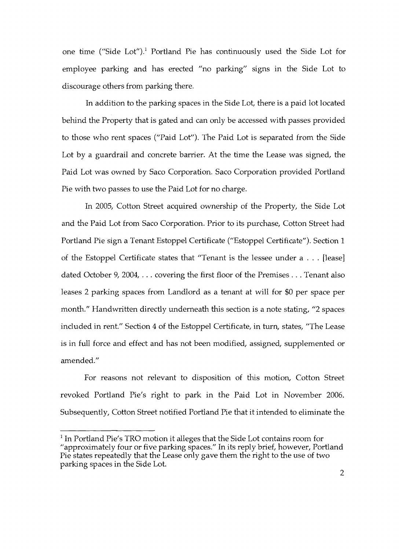one time ("Side Lot").<sup>1</sup> Portland Pie has continuously used the Side Lot for employee parking and has erected "no parking" signs in the Side Lot to discourage others from parking there.

In addition to the parking spaces in the Side Lot, there is a paid lot located behind the Property that is gated and can only be accessed with passes provided to those who rent spaces ("Paid Lot"). The Paid Lot is separated from the Side Lot by a guardrail and concrete barrier. At the time the Lease was signed, the Paid Lot was owned by Saco Corporation. Saco Corporation provided Portland Pie with two passes to use the Paid Lot for no charge.

In 2005, Cotton Street acquired ownership of the Property, the Side Lot and the Paid Lot from Saco Corporation. Prior to its purchase, Cotton Street had Portland Pie sign a Tenant Estoppel Certificate ("Estoppel Certificate"). Section 1 of the Estoppel Certificate states that "Tenant is the lessee under a ... [lease] dated October 9, 2004, ... covering the first floor of the Premises ... Tenant also leases 2 parking spaces from Landlord as a tenant at will for \$0 per space per month." Handwritten directly underneath this section is a note stating, "2 spaces included in rent." Section 4 of the Estoppel Certificate, in turn, states, "The Lease is in full force and effect and has not been modified, assigned, supplemented or amended."

For reasons not relevant to disposition of this motion, Cotton Street revoked Portland Pie's right to park in the Paid Lot in November 2006. Subsequently, Cotton Street notified Portland Pie that it intended to eliminate the

<sup>&</sup>lt;sup>1</sup> In Portland Pie's TRO motion it alleges that the Side Lot contains room for "approximately four or five parking spaces." In its reply brief, however, Portland Pie states repeatedly that the Lease only gave them the right to the use of two parking spaces in the Side Lot.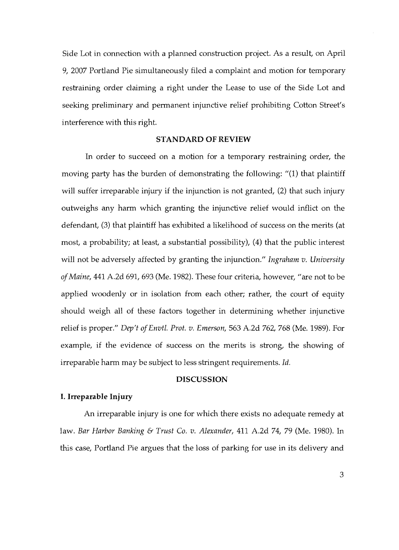Side Lot in connection with a planned construction project. As a result, on April 9, 2007 Portland Pie simultaneously filed a complaint and motion for temporary restraining order claiming a right under the Lease to use of the Side Lot and seeking preliminary and permanent injunctive relief prohibiting Cotton Street's interference with this right.

## **STANDARD OF REVIEW**

In order to succeed on a motion for a temporary restraining order, the moving party has the burden of demonstrating the following: "(1) that plaintiff will suffer irreparable injury if the injunction is not granted, (2) that such injury outweighs any harm which granting the injunctive relief would inflict on the defendant, (3) that plaintiff has exhibited a likelihood of success on the merits (at most, a probability; at least, a substantial possibility), (4) that the public interest will not be adversely affected by granting the injunction." *Ingraham v. University ofMaine,* 441 A.2d 691,693 (Me. 1982). These four criteria, however, "are not to be applied woodenly or in isolation from each other; rather, the court of equity should weigh all of these factors together in determining whether injunctive relief is proper." *Dep't ofEnvtl. Prot. v. Emerson,* 563 A.2d 762, 768 (Me. 1989). For example, if the evidence of success on the merits is strong, the showing of irreparable harm may be subject to less stringent requirements. *Id.* 

# **DISCUSSION**

# **I. Irreparable Injury**

An irreparable injury is one for which there exists no adequate remedy at law. *Bar Harbor Banking* & *Trust Co. v. Alexander,* 411 A.2d 74, 79 (Me. 1980). In this case, Portland Pie argues that the loss of parking for use in its delivery and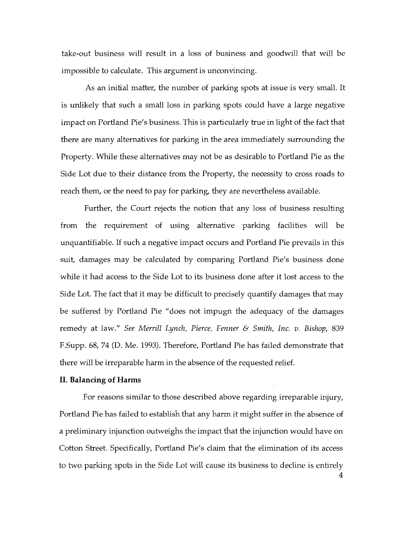take-out business will result in a loss of business and goodwill that will be impossible to calculate. This argument is unconvincing.

As an initial matter, the number of parking spots at issue is very small. It is unlikely that such a small loss in parking spots could have a large negative impact on Portland Pie's business. This is particularly true in light of the fact that there are many alternatives for parking in the area immediately surrounding the Property. While these alternatives may not be as desirable to Portland Pie as the Side Lot due to their distance from the Property, the necessity to cross roads to reach them, or the need to pay for parking, they are nevertheless available.

Further, the Court rejects the notion that any loss of business resulting from the requirement of using alternative parking facilities will be unquantifiable. If such a negative impact occurs and Portland Pie prevails in this suit, damages may be calculated by comparing Portland Pie's business done while it had access to the Side Lot to its business done after it lost access to the Side Lot. The fact that it may be difficult to precisely quantify damages that may be suffered by Portland Pie "does not impugn the adequacy of the damages remedy at law." *See Merrill Lynch, Pierce, Fenner* & *Smith, Inc. v. Bishop, 839*  F.Supp. 68, 74 (D. Me. 1993). Therefore, Portland Pie has failed demonstrate that there will be irreparable harm in the absence of the requested relief.

### **II. Balancing of Harms**

For reasons similar to those described above regarding irreparable injury, Portland Pie has failed to establish that any harm it might suffer in the absence of a preliminary injunction outweighs the impact that the injunction would have on Cotton Street. Specifically, Portland Pie's claim that the elimination of its access to two parking spots in the Side Lot will cause its business to decline is entirely 4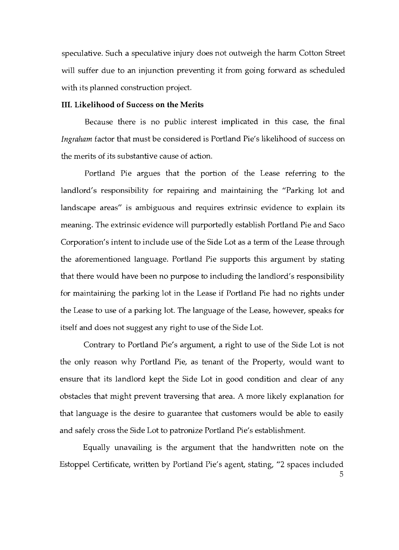speculative. Such a speculative injury does not outweigh the harm Cotton Street will suffer due to an injunction preventing it from going forward as scheduled with its planned construction project.

## **III. Likelihood of Success on the Merits**

Because there is no public interest implicated in this case, the final *Ingraham* factor that must be considered is Portland Pie's likelihood of success on the merits of its substantive cause of action.

Portland Pie argues that the portion of the Lease referring to the landlord's responsibility for repairing and maintaining the "Parking lot and landscape areas" is ambiguous and requires extrinsic evidence to explain its meaning. The extrinsic evidence will purportedly establish Portland Pie and Saco Corporation's intent to include use of the Side Lot as a term of the Lease through the aforementioned language. Portland Pie supports this argument by stating that there would have been no purpose to including the landlord's responsibility for maintaining the parking lot in the Lease if Portland Pie had no rights under the Lease to use of a parking lot. The language of the Lease, however, speaks for itself and does not suggest any right to use of the Side Lot.

Contrary to Portland Pie's argument, a right to use of the Side Lot is not the only reason why Portland Pie, as tenant of the Property, would want to ensure that its landlord kept the Side Lot in good condition and clear of any obstacles that might prevent traversing that area. A more likely explanation for that language is the desire to guarantee that customers would be able to easily and safely cross the Side Lot to patronize Portland Pie's establishment.

Equally unavailing is the argument that the handwritten note on the Estoppel Certificate, written by Portland Pie's agent, stating, "2 spaces included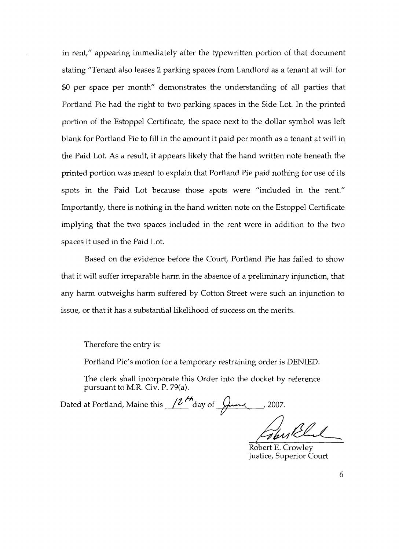in rent," appearing immediately after the typewritten portion of that document stating "Tenant also leases 2 parking spaces from Landlord as a tenant at will for \$0 per space per month" demonstrates the understanding of all parties that Portland Pie had the right to two parking spaces in the Side Lot. In the printed portion of the Estoppel Certificate, the space next to the dollar symbol was left blank for Portland Pie to fill in the amount it paid per month as a tenant at will in the Paid Lot. As a result, it appears likely that the hand written note beneath the printed portion was meant to explain that Portland Pie paid nothing for use of its spots in the Paid Lot because those spots were "included in the rent." Importantly, there is nothing in the hand written note on the Estoppel Certificate implying that the two spaces included in the rent were in addition to the two spaces it used in the Paid Lot.

Based on the evidence before the Court, Portland Pie has failed to show that it will suffer irreparable harm in the absence of a preliminary injunction, that any harm outweighs harm suffered by Cotton Street were such an injunction to issue, or that it has a substantial likelihood of success on the merits.

Therefore the entry is:

Portland Pie's motion for a temporary restraining order is DENIED.

The clerk shall incorporate this Order into the docket by reference pursuant to M.R. Civ. P. 79(a).

Dated at Portland, Maine this  $\sqrt{2\frac{\mu_{\text{A}}}{\mu_{\text{A}}}}$  ay of  $\frac{\mu_{\text{A}}}{\mu_{\text{A}}}$ , 2007.

The Red

Robert E. Crowley Justice, Superior Court